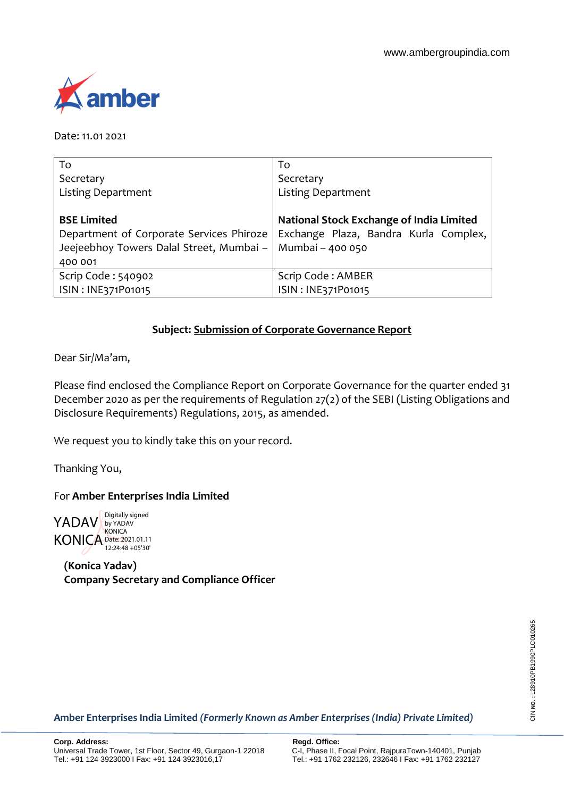

Date: 11.01 2021

| To                                       | To                                       |
|------------------------------------------|------------------------------------------|
| Secretary                                | Secretary                                |
| <b>Listing Department</b>                | <b>Listing Department</b>                |
|                                          |                                          |
| <b>BSE Limited</b>                       | National Stock Exchange of India Limited |
| Department of Corporate Services Phiroze | Exchange Plaza, Bandra Kurla Complex,    |
| Jeejeebhoy Towers Dalal Street, Mumbai - | Mumbai - 400 050                         |
| 400 001                                  |                                          |
| Scrip Code: 540902                       | Scrip Code: AMBER                        |
| ISIN: INE371P01015                       | ISIN: INE371P01015                       |

# **Subject: Submission of Corporate Governance Report**

Dear Sir/Ma'am,

Please find enclosed the Compliance Report on Corporate Governance for the quarter ended 31 December 2020 as per the requirements of Regulation 27(2) of the SEBI (Listing Obligations and Disclosure Requirements) Regulations, 2015, as amended.

We request you to kindly take this on your record.

Thanking You,

### For **Amber Enterprises India Limited**

YADAV KONICA Date: 2021.01.11 Digitally signed by YADAV **KONICA** 12:24:48 +05'30'

**(Konica Yadav) Company Secretary and Compliance Officer**

**Amber Enterprises India Limited** *(Formerly Known as Amber Enterprises (India) Private Limited)*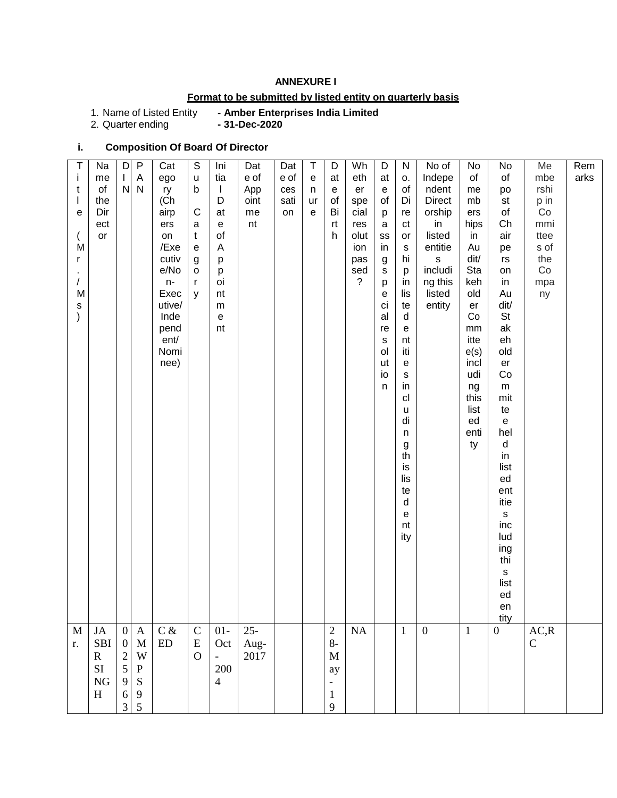### **ANNEXURE I**

### **Format to be submitted by listed entity on quarterly basis**

1. Name of Listed Entity<br>2. Quarter ending

- Amber Enterprises India Limited<br>- 31-Dec-2020

### **i. Composition Of Board Of Director**

| $\mathsf T$   | Na           | $\mathsf D$               | $\mathsf{P}$      | Cat           | $\mathbb S$                    | Ini                               | Dat         | Dat         | $\top$ | D                 | Wh                    | D                                       | ${\sf N}$             | No of                   | No            | No                  | Me          | Rem  |
|---------------|--------------|---------------------------|-------------------|---------------|--------------------------------|-----------------------------------|-------------|-------------|--------|-------------------|-----------------------|-----------------------------------------|-----------------------|-------------------------|---------------|---------------------|-------------|------|
| j.<br>t       | me<br>of     | $\mathbf{L}$<br>${\sf N}$ | A<br>$\mathsf{N}$ | ego<br>ry     | $\mathsf{u}%$<br>$\mathsf b$   | tia<br>$\mathbf{I}$               | e of<br>App | e of<br>ces | e<br>n | at<br>e           | eth<br>er             | at<br>$\mathsf{e}% _{t}\left( t\right)$ | Ο.<br>of              | Indepe<br>ndent         | of<br>me      | of<br>po            | mbe<br>rshi | arks |
| $\mathbf{I}$  | the          |                           |                   | (Ch           |                                | D                                 | oint        | sati        | ur     | of                | spe                   | of                                      | Di                    | <b>Direct</b>           | mb            | st                  | p in        |      |
| е             | Dir          |                           |                   | airp          | $\mathsf C$                    | at                                | me          | on          | e      | Bi                | cial                  | р                                       | re                    | orship                  | ers           | of                  | Co          |      |
|               | ect          |                           |                   | ers           | a                              | $\mathsf{e}% _{t}\left( t\right)$ | nt          |             |        | rt                | res                   | $\mathsf a$                             | ct                    | in                      | hips          | Ch                  | mmi         |      |
|               | or           |                           |                   | on            | $\mathsf{t}$                   | of                                |             |             |        | h                 | olut                  | SS                                      | or                    | listed                  | in            | air                 | ttee        |      |
| M             |              |                           |                   | /Exe          | ${\bf e}$                      | Α                                 |             |             |        |                   | ion                   | in                                      | ${\tt S}$             | entitie                 | Au            | pe                  | s of        |      |
| r             |              |                           |                   | cutiv<br>e/No | $\boldsymbol{g}$               | p                                 |             |             |        |                   | pas                   | g                                       | hi                    | $\mathsf{s}$<br>includi | dit/<br>Sta   | rs                  | the         |      |
| /             |              |                           |                   | n-            | $\mathsf{o}\,$<br>$\mathbf{r}$ | p<br>oi                           |             |             |        |                   | sed<br>$\overline{?}$ | $\mathbb S$<br>p                        | p<br>in               | ng this                 | keh           | on<br>in            | Co<br>mpa   |      |
| M             |              |                           |                   | Exec          | y                              | nt                                |             |             |        |                   |                       | е                                       | lis                   | listed                  | old           | Au                  | ny          |      |
| $\mathsf S$   |              |                           |                   | utive/        |                                | ${\sf m}$                         |             |             |        |                   |                       | ci                                      | te                    | entity                  | er            | dit/                |             |      |
| $\mathcal{E}$ |              |                           |                   | Inde          |                                | $\mathsf{e}% _{t}\left( t\right)$ |             |             |        |                   |                       | al                                      | d                     |                         | Co            | <b>St</b>           |             |      |
|               |              |                           |                   | pend          |                                | nt                                |             |             |        |                   |                       | re                                      | e                     |                         | $\mathsf{mm}$ | ak                  |             |      |
|               |              |                           |                   | ent/<br>Nomi  |                                |                                   |             |             |        |                   |                       | $\mathsf{s}$<br>ol                      | nt<br>iti             |                         | itte          | eh<br>old           |             |      |
|               |              |                           |                   | nee)          |                                |                                   |             |             |        |                   |                       | ut                                      | e                     |                         | e(s)<br>incl  | er                  |             |      |
|               |              |                           |                   |               |                                |                                   |             |             |        |                   |                       | io                                      | $\mathsf{s}$          |                         | udi           | Co                  |             |      |
|               |              |                           |                   |               |                                |                                   |             |             |        |                   |                       | n                                       | in                    |                         | ng            | ${\sf m}$           |             |      |
|               |              |                           |                   |               |                                |                                   |             |             |        |                   |                       |                                         | cl                    |                         | this          | mit                 |             |      |
|               |              |                           |                   |               |                                |                                   |             |             |        |                   |                       |                                         | u                     |                         | list          | te                  |             |      |
|               |              |                           |                   |               |                                |                                   |             |             |        |                   |                       |                                         | di                    |                         | ed<br>enti    | ${\bf e}$<br>hel    |             |      |
|               |              |                           |                   |               |                                |                                   |             |             |        |                   |                       |                                         | n<br>$\boldsymbol{g}$ |                         | ty            | $\sf d$             |             |      |
|               |              |                           |                   |               |                                |                                   |             |             |        |                   |                       |                                         | th                    |                         |               | in                  |             |      |
|               |              |                           |                   |               |                                |                                   |             |             |        |                   |                       |                                         | is                    |                         |               | list                |             |      |
|               |              |                           |                   |               |                                |                                   |             |             |        |                   |                       |                                         | lis                   |                         |               | ed                  |             |      |
|               |              |                           |                   |               |                                |                                   |             |             |        |                   |                       |                                         | te                    |                         |               | ent                 |             |      |
|               |              |                           |                   |               |                                |                                   |             |             |        |                   |                       |                                         | $\sf d$               |                         |               | itie<br>$\mathbf s$ |             |      |
|               |              |                           |                   |               |                                |                                   |             |             |        |                   |                       |                                         | е<br>nt               |                         |               | inc                 |             |      |
|               |              |                           |                   |               |                                |                                   |             |             |        |                   |                       |                                         | ity                   |                         |               | lud                 |             |      |
|               |              |                           |                   |               |                                |                                   |             |             |        |                   |                       |                                         |                       |                         |               | ing                 |             |      |
|               |              |                           |                   |               |                                |                                   |             |             |        |                   |                       |                                         |                       |                         |               | thi                 |             |      |
|               |              |                           |                   |               |                                |                                   |             |             |        |                   |                       |                                         |                       |                         |               | $\mathbf S$         |             |      |
|               |              |                           |                   |               |                                |                                   |             |             |        |                   |                       |                                         |                       |                         |               | list<br>ed          |             |      |
|               |              |                           |                   |               |                                |                                   |             |             |        |                   |                       |                                         |                       |                         |               | en                  |             |      |
|               |              |                           |                   |               |                                |                                   |             |             |        |                   |                       |                                         |                       |                         |               | tity                |             |      |
| $\mathbf M$   | JA           | $\overline{0}$            | $\mathbf{A}$      | $C \&$        | ${\bf C}$                      | $01-$                             | $25 -$      |             |        | $\sqrt{2}$        | $\rm NA$              |                                         | $\mathbf{1}$          | $\mathbf{0}$            | $\mathbf{1}$  | $\overline{0}$      | AC, R       |      |
| r.            | SBI          | $\mathbf{0}$              | $\mathbf M$       | ${\rm ED}$    | ${\bf E}$                      | Oct                               | Aug-        |             |        | $8-$              |                       |                                         |                       |                         |               |                     | $\mathbf C$ |      |
|               | $\mathbf{R}$ | $\sqrt{2}$                | W                 |               | $\overline{O}$                 | $\overline{\phantom{a}}$          | 2017        |             |        | $\mathbf{M}$      |                       |                                         |                       |                         |               |                     |             |      |
|               | SI           | 5                         | $\mathbf{P}$      |               |                                | 200                               |             |             |        | ay                |                       |                                         |                       |                         |               |                     |             |      |
|               | <b>NG</b>    | 9                         | S                 |               |                                | $\overline{4}$                    |             |             |        | $\qquad \qquad -$ |                       |                                         |                       |                         |               |                     |             |      |
|               | H            | 6                         | 9                 |               |                                |                                   |             |             |        | $\mathbf{1}$      |                       |                                         |                       |                         |               |                     |             |      |
|               |              | 3                         | 5                 |               |                                |                                   |             |             |        | 9                 |                       |                                         |                       |                         |               |                     |             |      |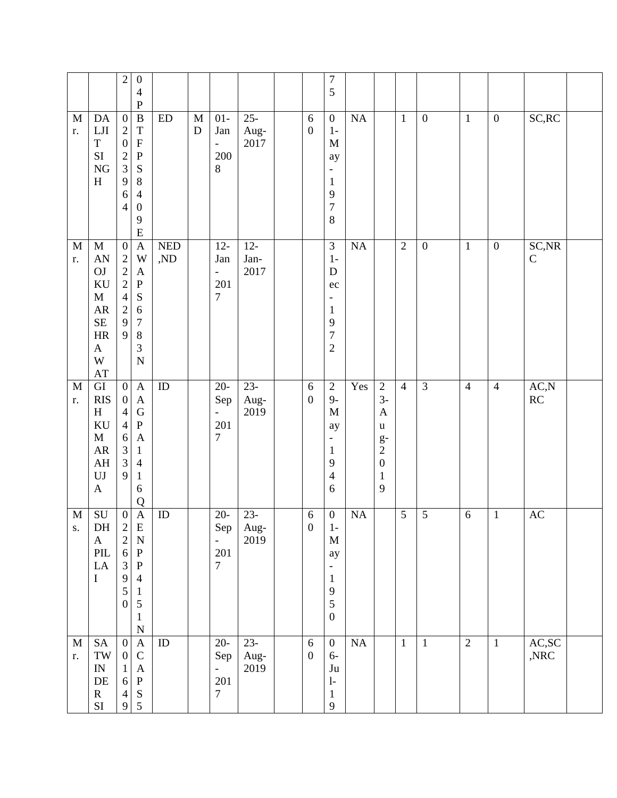|                    |                                                                                                                                                          | $\sqrt{2}$<br>$\boldsymbol{0}$<br>$\overline{4}$<br>${\bf P}$                                                                                                                                                                                                                                               |                   |                          |                                                           |                        |                                | $\overline{7}$<br>5                                                                                                                  |          |                                                                                                                         |                |                  |                |                  |                                 |  |
|--------------------|----------------------------------------------------------------------------------------------------------------------------------------------------------|-------------------------------------------------------------------------------------------------------------------------------------------------------------------------------------------------------------------------------------------------------------------------------------------------------------|-------------------|--------------------------|-----------------------------------------------------------|------------------------|--------------------------------|--------------------------------------------------------------------------------------------------------------------------------------|----------|-------------------------------------------------------------------------------------------------------------------------|----------------|------------------|----------------|------------------|---------------------------------|--|
| $\mathbf M$<br>r.  | DA<br>${\rm LJI}$<br>$\mathbf T$<br>$\rm SI$<br>NG<br>$\, {\rm H}$                                                                                       | $\, {\bf B}$<br>$\boldsymbol{0}$<br>$\sqrt{2}$<br>$\mathbf T$<br>$\boldsymbol{0}$<br>$\mathbf F$<br>$\frac{2}{3}$<br>$\mathbf P$<br>${\bf S}$<br>9<br>$8\,$<br>$\overline{4}$<br>6<br>$\boldsymbol{0}$<br>$\overline{4}$<br>9<br>$\mathbf E$                                                                | ${\rm ED}$        | $\mathbf M$<br>${\bf D}$ | $01-$<br>Jan<br>$\overline{\phantom{0}}$<br>200<br>8      | $25 -$<br>Aug-<br>2017 | $6\,$<br>$\boldsymbol{0}$      | $\boldsymbol{0}$<br>$1-$<br>$\mathbf M$<br>ay<br>$\overline{\phantom{a}}$<br>$\mathbf{1}$<br>9<br>$\overline{7}$<br>8                | $\rm NA$ |                                                                                                                         | $\mathbf{1}$   | $\boldsymbol{0}$ | $\mathbf{1}$   | $\mathbf{0}$     | SC, RC                          |  |
| $\mathbf{M}$<br>r. | $\mathbf M$<br>${\rm AN}$<br>OJ<br>KU<br>$\mathbf M$<br><b>AR</b><br>SE<br>$\rm{HR}$<br>$\mathbf A$<br>$\ensuremath{\text{W}}$<br>$\mathbf{A}\mathbf{T}$ | $\overline{0}$<br>$\boldsymbol{\mathsf{A}}$<br>$\begin{array}{c} 2 \\ 2 \\ 2 \end{array}$<br>W<br>$\mathbf A$<br>${\bf P}$<br>$\overline{4}$<br>${\bf S}$<br>$\overline{2}$<br>$\sqrt{6}$<br>9<br>$\boldsymbol{7}$<br>9<br>$\, 8$<br>$\mathfrak{Z}$<br>${\bf N}$                                            | <b>NED</b><br>,ND |                          | $12 -$<br>Jan<br>÷<br>201<br>7                            | $12 -$<br>Jan-<br>2017 |                                | $\overline{3}$<br>$1-$<br>${\bf D}$<br>ec<br>$\overline{\phantom{a}}$<br>$\mathbf{1}$<br>9<br>$\overline{7}$<br>$\overline{2}$       | NA       |                                                                                                                         | $\overline{2}$ | $\boldsymbol{0}$ | $\mathbf{1}$   | $\boldsymbol{0}$ | SC, NR<br>$\mathsf C$           |  |
| $\mathbf M$<br>r.  | $\overline{GI}$<br><b>RIS</b><br>H<br>KU<br>$\mathbf M$<br>${\sf AR}$<br>AH<br>${\rm UJ}$<br>$\mathbf{A}$                                                | $\boldsymbol{0}$<br>$\boldsymbol{\mathsf{A}}$<br>$\boldsymbol{0}$<br>$\mathbf{A}$<br>${\bf G}$<br>$\overline{4}$<br>${\bf P}$<br>$\overline{4}$<br>6<br>$\mathbf{A}$<br>$\frac{3}{3}$<br>$\mathbf{1}$<br>$\overline{4}$<br>9<br>$\mathbf{1}$<br>$\sqrt{6}$<br>Q                                             | $\overline{ID}$   |                          | $20 -$<br>Sep<br>$\blacksquare$<br>201<br>$\overline{7}$  | $23 -$<br>Aug-<br>2019 | $\sqrt{6}$<br>$\boldsymbol{0}$ | $\sqrt{2}$<br>$9-$<br>$\mathbf M$<br>ay<br>$\overline{\phantom{a}}$<br>$\mathbf{1}$<br>9<br>$\overline{4}$<br>6                      | Yes      | $\overline{2}$<br>$3-$<br>$\mathbf{A}$<br>$\mathbf u$<br>$rac{g}{2}$<br>$\boldsymbol{0}$<br>$\mathbf 1$<br>$\mathbf{9}$ | $\overline{4}$ | $\overline{3}$   | $\overline{4}$ | $\overline{4}$   | AC,N<br>$\mathbb{R}\mathcal{C}$ |  |
| M<br>${\bf S}$ .   | ${\bf SU}$<br>DH<br>$\mathbf{A}$<br>$\ensuremath{\mathrm{PIL}}$<br>${\rm LA}$<br>$\mathbf I$                                                             | $\boldsymbol{0}$<br>$\boldsymbol{\mathsf{A}}$<br>$\overline{c}$<br>E<br>$\begin{array}{c} 2 \\ 6 \end{array}$<br>$\mathbf N$<br>${\bf P}$<br>$\overline{3}$<br>${\bf P}$<br>9<br>$\overline{4}$<br>$\mathfrak{S}$<br>$\mathbf{1}$<br>$\mathfrak{S}$<br>$\overline{0}$<br>$\mathbf{1}$<br>$\overline{\rm N}$ | ID                |                          | $20 -$<br>Sep<br>L,<br>201<br>$\overline{7}$              | $23 -$<br>Aug-<br>2019 | $\sqrt{6}$<br>$\boldsymbol{0}$ | $\boldsymbol{0}$<br>$1-$<br>$\mathbf M$<br>ay<br>$\overline{\phantom{a}}$<br>$\mathbf{1}$<br>$\overline{9}$<br>5<br>$\boldsymbol{0}$ | $\rm NA$ |                                                                                                                         | $\sqrt{5}$     | $\sqrt{5}$       | $\sqrt{6}$     | $\mathbf{1}$     | $\mathbf{A}\mathbf{C}$          |  |
| $\mathbf M$<br>r.  | <b>SA</b><br>$\mathbf{TW}$<br>$\ensuremath{\text{IN}}$<br>$\rm DE$<br>${\bf R}$<br>$\rm SI$                                                              | $\boldsymbol{0}$<br>$\boldsymbol{\rm{A}}$<br>$\mathsf C$<br>$\boldsymbol{0}$<br>$\mathbf{1}$<br>$\mathbf{A}$<br>${\bf P}$<br>$\sqrt{6}$<br>${\bf S}$<br>$\overline{4}$<br>$5\phantom{.0}$<br>9 <sup>1</sup>                                                                                                 | $\rm ID$          |                          | $20-$<br>Sep<br>$\blacksquare$<br>201<br>$\boldsymbol{7}$ | $23-$<br>Aug-<br>2019  | $6\,$<br>$\boldsymbol{0}$      | $\boldsymbol{0}$<br>$6-$<br>$\mathrm{J}\mathrm{u}$<br>$\ensuremath{\mathsf{I}}\xspace$ -<br>$\mathbf{1}$<br>9                        | NA       |                                                                                                                         | $\mathbf{1}$   | $\mathbf{1}$     | $\overline{2}$ | $\mathbf{1}$     | AC,SC<br>,NRC                   |  |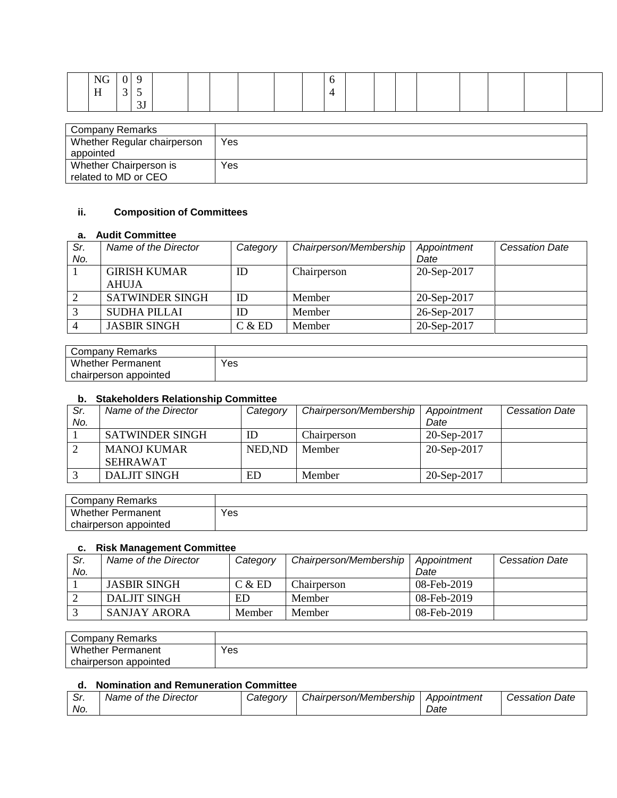|  | $\mathbf{X}$ |    |  |  |  |  |  |  |  |  |
|--|--------------|----|--|--|--|--|--|--|--|--|
|  | $-$<br>H     |    |  |  |  |  |  |  |  |  |
|  |              | ັບ |  |  |  |  |  |  |  |  |

| Company Remarks             |     |
|-----------------------------|-----|
| Whether Regular chairperson | Yes |
| appointed                   |     |
| Whether Chairperson is      | Yes |
| related to MD or CEO        |     |

### **ii. Composition of Committees**

#### **a. Audit Committee**

| Sr. | Name of the Director   | Category | Chairperson/Membership | Appointment | <b>Cessation Date</b> |
|-----|------------------------|----------|------------------------|-------------|-----------------------|
| No. |                        |          |                        | Date        |                       |
|     | <b>GIRISH KUMAR</b>    | ID       | Chairperson            | 20-Sep-2017 |                       |
|     | AHUJA                  |          |                        |             |                       |
|     | <b>SATWINDER SINGH</b> | ID       | Member                 | 20-Sep-2017 |                       |
|     | <b>SUDHA PILLAI</b>    | ID       | Member                 | 26-Sep-2017 |                       |
|     | <b>JASBIR SINGH</b>    | C & E D  | Member                 | 20-Sep-2017 |                       |

| Company<br><sup>.</sup> Remarks |     |
|---------------------------------|-----|
| <b>Whether Permanent</b>        | Yes |
| appointed<br>chairperson        |     |

#### **b. Stakeholders Relationship Committee**

| Sr. | Name of the Director   | Category | Chairperson/Membership | Appointment | <b>Cessation Date</b> |
|-----|------------------------|----------|------------------------|-------------|-----------------------|
| No. |                        |          |                        | Date        |                       |
|     | <b>SATWINDER SINGH</b> | ID       | Chairperson            | 20-Sep-2017 |                       |
|     | <b>MANOJ KUMAR</b>     | NED, ND  | Member                 | 20-Sep-2017 |                       |
|     | <b>SEHRAWAT</b>        |          |                        |             |                       |
|     | DALJIT SINGH           | ED       | Member                 | 20-Sep-2017 |                       |

| Remarks<br>∵ompany ت     |     |
|--------------------------|-----|
| Whether<br>Permanent     | Yes |
| appointed<br>chairperson |     |

#### **c. Risk Management Committee**

| Sr. | Name of the Director | Category | Chairperson/Membership | Appointment    | <b>Cessation Date</b> |
|-----|----------------------|----------|------------------------|----------------|-----------------------|
| No. |                      |          |                        | Date           |                       |
|     | <b>JASBIR SINGH</b>  | C & E D  | Chairperson            | 08-Feb-2019    |                       |
|     | DALJIT SINGH         | ED       | <b>Member</b>          | $08$ -Feb-2019 |                       |
|     | SANJAY ARORA         | Member   | <b>Member</b>          | $08$ -Feb-2019 |                       |

| Company Remarks       |     |
|-----------------------|-----|
| Whether<br>Permanent  | Yes |
| chairperson appointed |     |

### **d. Nomination and Remuneration Committee**

| -----    |                               |                 |                        |             |                                               |
|----------|-------------------------------|-----------------|------------------------|-------------|-----------------------------------------------|
| ົ.<br>ပ، | Director<br>Name<br>the<br>Οt | <i>Catedorv</i> | Chairperson/Membership | Appointment | -<br><i>Date</i><br>820 K K<br>$\overline{1}$ |
| No.      |                               |                 |                        | Date        |                                               |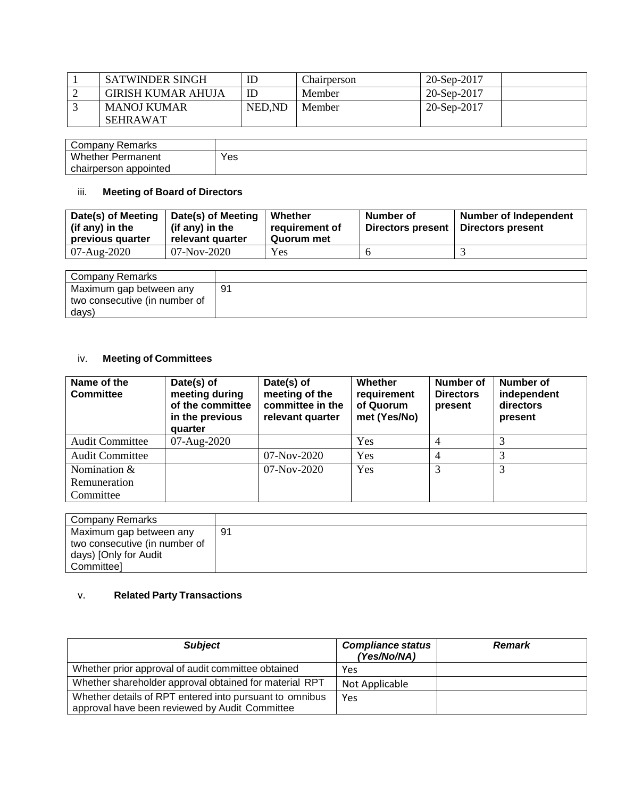| SATWINDER SINGH           | IE     | Chairperson | 20-Sep-2017       |
|---------------------------|--------|-------------|-------------------|
| <b>GIRISH KUMAR AHUJA</b> | ID     | Member      | 20-Sep-2017       |
| MANOJ KUMAR               | NED.ND | Member      | $20-$ Sep $-2017$ |
| <b>SEHRAWAT</b>           |        |             |                   |

| <sup>.</sup> Remarks<br>Company |     |
|---------------------------------|-----|
| <b>Whether Permanent</b>        | Yes |
| chairperson appointed           |     |

# iii. **Meeting of Board of Directors**

| Date(s) of Meeting<br>(if any) in the<br>previous quarter | Date(s) of Meeting<br>(if any) in the<br>relevant quarter | Whether<br>requirement of<br>Quorum met | Number of<br><b>Directors present</b> | <b>Number of Independent</b><br>Directors present |
|-----------------------------------------------------------|-----------------------------------------------------------|-----------------------------------------|---------------------------------------|---------------------------------------------------|
| 07-Aug-2020                                               | 07-Nov-2020                                               | Yes                                     |                                       |                                                   |

| Company Remarks               |    |
|-------------------------------|----|
| Maximum gap between any       | 91 |
| two consecutive (in number of |    |
| days)                         |    |

## iv. **Meeting of Committees**

| Name of the<br><b>Committee</b> | Date(s) of<br>meeting during<br>of the committee<br>in the previous<br>quarter | Date(s) of<br>meeting of the<br>committee in the<br>relevant quarter | Whether<br>requirement<br>of Quorum<br>met (Yes/No) | <b>Number of</b><br><b>Directors</b><br>present | Number of<br>independent<br>directors<br>present |
|---------------------------------|--------------------------------------------------------------------------------|----------------------------------------------------------------------|-----------------------------------------------------|-------------------------------------------------|--------------------------------------------------|
| <b>Audit Committee</b>          | $07 - \text{Aug-}2020$                                                         |                                                                      | Yes                                                 |                                                 |                                                  |
| <b>Audit Committee</b>          |                                                                                | 07-Nov-2020                                                          | Yes                                                 |                                                 |                                                  |
| Nomination &                    |                                                                                | $07-Nov-2020$                                                        | Yes                                                 | 3                                               | 3                                                |
| Remuneration                    |                                                                                |                                                                      |                                                     |                                                 |                                                  |
| Committee                       |                                                                                |                                                                      |                                                     |                                                 |                                                  |

| Company Remarks               |    |
|-------------------------------|----|
| Maximum gap between any       | 91 |
| two consecutive (in number of |    |
| days) [Only for Audit         |    |
| <b>Committeel</b>             |    |

# v. **Related Party Transactions**

| <b>Subject</b>                                                                                            | <b>Compliance status</b><br>(Yes/No/NA) | <b>Remark</b> |
|-----------------------------------------------------------------------------------------------------------|-----------------------------------------|---------------|
| Whether prior approval of audit committee obtained                                                        | Yes                                     |               |
| Whether shareholder approval obtained for material RPT                                                    | Not Applicable                          |               |
| Whether details of RPT entered into pursuant to omnibus<br>approval have been reviewed by Audit Committee | Yes                                     |               |